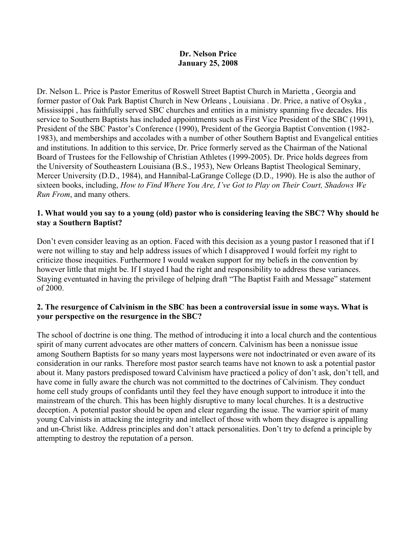### **Dr. Nelson Price January 25, 2008**

Dr. Nelson L. Price is Pastor Emeritus of Roswell Street Baptist Church in Marietta , Georgia and former pastor of Oak Park Baptist Church in New Orleans , Louisiana . Dr. Price, a native of Osyka , Mississippi , has faithfully served SBC churches and entities in a ministry spanning five decades. His service to Southern Baptists has included appointments such as First Vice President of the SBC (1991), President of the SBC Pastor's Conference (1990), President of the Georgia Baptist Convention (1982- 1983), and memberships and accolades with a number of other Southern Baptist and Evangelical entities and institutions. In addition to this service, Dr. Price formerly served as the Chairman of the National Board of Trustees for the Fellowship of Christian Athletes (1999-2005). Dr. Price holds degrees from the University of Southeastern Louisiana (B.S., 1953), New Orleans Baptist Theological Seminary, Mercer University (D.D., 1984), and Hannibal-LaGrange College (D.D., 1990). He is also the author of sixteen books, including, *How to Find Where You Are, I've Got to Play on Their Court, Shadows We Run From*, and many others.

### **1. What would you say to a young (old) pastor who is considering leaving the SBC? Why should he stay a Southern Baptist?**

Don't even consider leaving as an option. Faced with this decision as a young pastor I reasoned that if I were not willing to stay and help address issues of which I disapproved I would forfeit my right to criticize those inequities. Furthermore I would weaken support for my beliefs in the convention by however little that might be. If I stayed I had the right and responsibility to address these variances. Staying eventuated in having the privilege of helping draft "The Baptist Faith and Message" statement of 2000.

### **2. The resurgence of Calvinism in the SBC has been a controversial issue in some ways. What is your perspective on the resurgence in the SBC?**

The school of doctrine is one thing. The method of introducing it into a local church and the contentious spirit of many current advocates are other matters of concern. Calvinism has been a nonissue issue among Southern Baptists for so many years most laypersons were not indoctrinated or even aware of its consideration in our ranks. Therefore most pastor search teams have not known to ask a potential pastor about it. Many pastors predisposed toward Calvinism have practiced a policy of don't ask, don't tell, and have come in fully aware the church was not committed to the doctrines of Calvinism. They conduct home cell study groups of confidants until they feel they have enough support to introduce it into the mainstream of the church. This has been highly disruptive to many local churches. It is a destructive deception. A potential pastor should be open and clear regarding the issue. The warrior spirit of many young Calvinists in attacking the integrity and intellect of those with whom they disagree is appalling and un-Christ like. Address principles and don't attack personalities. Don't try to defend a principle by attempting to destroy the reputation of a person.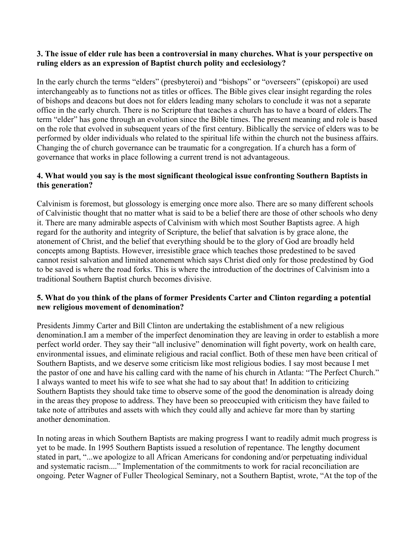## **3. The issue of elder rule has been a controversial in many churches. What is your perspective on ruling elders as an expression of Baptist church polity and ecclesiology?**

In the early church the terms "elders" (presbyteroi) and "bishops" or "overseers" (episkopoi) are used interchangeably as to functions not as titles or offices. The Bible gives clear insight regarding the roles of bishops and deacons but does not for elders leading many scholars to conclude it was not a separate office in the early church. There is no Scripture that teaches a church has to have a board of elders.The term "elder" has gone through an evolution since the Bible times. The present meaning and role is based on the role that evolved in subsequent years of the first century. Biblically the service of elders was to be performed by older individuals who related to the spiritual life within the church not the business affairs. Changing the of church governance can be traumatic for a congregation. If a church has a form of governance that works in place following a current trend is not advantageous.

# **4. What would you say is the most significant theological issue confronting Southern Baptists in this generation?**

Calvinism is foremost, but glossology is emerging once more also. There are so many different schools of Calvinistic thought that no matter what is said to be a belief there are those of other schools who deny it. There are many admirable aspects of Calvinism with which most Souther Baptists agree. A high regard for the authority and integrity of Scripture, the belief that salvation is by grace alone, the atonement of Christ, and the belief that everything should be to the glory of God are broadly held concepts among Baptists. However, irresistible grace which teaches those predestined to be saved cannot resist salvation and limited atonement which says Christ died only for those predestined by God to be saved is where the road forks. This is where the introduction of the doctrines of Calvinism into a traditional Southern Baptist church becomes divisive.

# **5. What do you think of the plans of former Presidents Carter and Clinton regarding a potential new religious movement of denomination?**

Presidents Jimmy Carter and Bill Clinton are undertaking the establishment of a new religious denomination.I am a member of the imperfect denomination they are leaving in order to establish a more perfect world order. They say their "all inclusive" denomination will fight poverty, work on health care, environmental issues, and eliminate religious and racial conflict. Both of these men have been critical of Southern Baptists, and we deserve some criticism like most religious bodies. I say most because I met the pastor of one and have his calling card with the name of his church in Atlanta: "The Perfect Church." I always wanted to meet his wife to see what she had to say about that! In addition to criticizing Southern Baptists they should take time to observe some of the good the denomination is already doing in the areas they propose to address. They have been so preoccupied with criticism they have failed to take note of attributes and assets with which they could ally and achieve far more than by starting another denomination.

In noting areas in which Southern Baptists are making progress I want to readily admit much progress is yet to be made. In 1995 Southern Baptists issued a resolution of repentance. The lengthy document stated in part, "...we apologize to all African Americans for condoning and/or perpetuating individual and systematic racism...." Implementation of the commitments to work for racial reconciliation are ongoing. Peter Wagner of Fuller Theological Seminary, not a Southern Baptist, wrote, "At the top of the